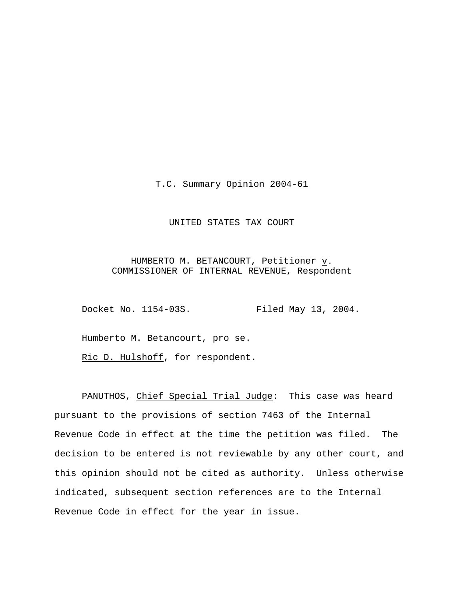T.C. Summary Opinion 2004-61

# UNITED STATES TAX COURT

HUMBERTO M. BETANCOURT, Petitioner  $\underline{v}$ . COMMISSIONER OF INTERNAL REVENUE, Respondent

Docket No. 1154-03S. Filed May 13, 2004.

Humberto M. Betancourt, pro se.

Ric D. Hulshoff, for respondent.

PANUTHOS, Chief Special Trial Judge: This case was heard pursuant to the provisions of section 7463 of the Internal Revenue Code in effect at the time the petition was filed. The decision to be entered is not reviewable by any other court, and this opinion should not be cited as authority. Unless otherwise indicated, subsequent section references are to the Internal Revenue Code in effect for the year in issue.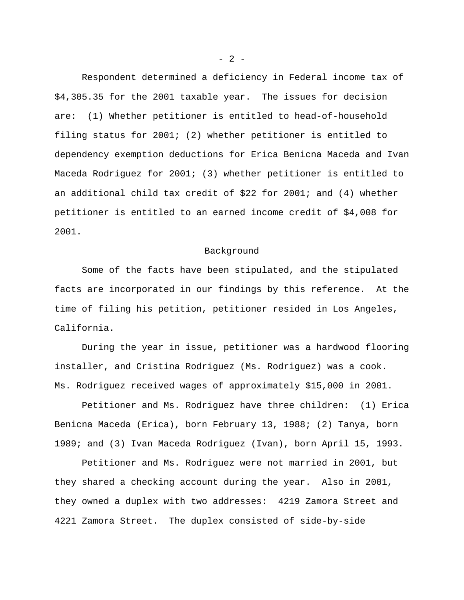Respondent determined a deficiency in Federal income tax of \$4,305.35 for the 2001 taxable year. The issues for decision are: (1) Whether petitioner is entitled to head-of-household filing status for 2001; (2) whether petitioner is entitled to dependency exemption deductions for Erica Benicna Maceda and Ivan Maceda Rodriguez for 2001; (3) whether petitioner is entitled to an additional child tax credit of \$22 for 2001; and (4) whether petitioner is entitled to an earned income credit of \$4,008 for 2001.

### Background

Some of the facts have been stipulated, and the stipulated facts are incorporated in our findings by this reference. At the time of filing his petition, petitioner resided in Los Angeles, California.

During the year in issue, petitioner was a hardwood flooring installer, and Cristina Rodriguez (Ms. Rodriguez) was a cook. Ms. Rodriguez received wages of approximately \$15,000 in 2001.

Petitioner and Ms. Rodriguez have three children: (1) Erica Benicna Maceda (Erica), born February 13, 1988; (2) Tanya, born 1989; and (3) Ivan Maceda Rodriguez (Ivan), born April 15, 1993.

Petitioner and Ms. Rodriguez were not married in 2001, but they shared a checking account during the year. Also in 2001, they owned a duplex with two addresses: 4219 Zamora Street and 4221 Zamora Street. The duplex consisted of side-by-side

 $- 2 -$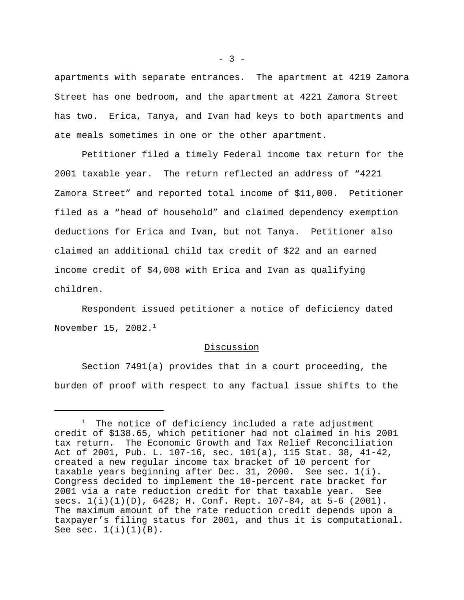apartments with separate entrances. The apartment at 4219 Zamora Street has one bedroom, and the apartment at 4221 Zamora Street has two. Erica, Tanya, and Ivan had keys to both apartments and ate meals sometimes in one or the other apartment.

Petitioner filed a timely Federal income tax return for the 2001 taxable year. The return reflected an address of "4221 Zamora Street" and reported total income of \$11,000. Petitioner filed as a "head of household" and claimed dependency exemption deductions for Erica and Ivan, but not Tanya. Petitioner also claimed an additional child tax credit of \$22 and an earned income credit of \$4,008 with Erica and Ivan as qualifying children.

Respondent issued petitioner a notice of deficiency dated November 15,  $2002.^1$ 

#### Discussion

Section 7491(a) provides that in a court proceeding, the burden of proof with respect to any factual issue shifts to the

 $- 3 -$ 

The notice of deficiency included a rate adjustment credit of \$138.65, which petitioner had not claimed in his 2001 tax return. The Economic Growth and Tax Relief Reconciliation Act of 2001, Pub. L. 107-16, sec. 101(a), 115 Stat. 38, 41-42, created a new regular income tax bracket of 10 percent for taxable years beginning after Dec. 31, 2000. See sec. 1(i). Congress decided to implement the 10-percent rate bracket for 2001 via a rate reduction credit for that taxable year. See secs.  $1(i)(1)(D)$ ,  $6428$ ; H. Conf. Rept. 107-84, at 5-6 (2001). The maximum amount of the rate reduction credit depends upon a taxpayer's filing status for 2001, and thus it is computational. See sec.  $1(i)(1)(B)$ .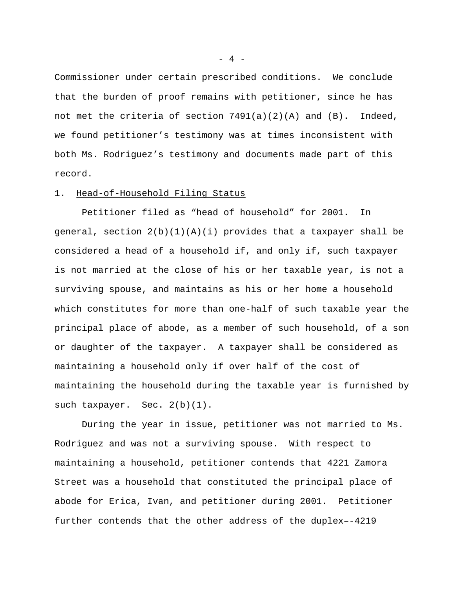Commissioner under certain prescribed conditions. We conclude that the burden of proof remains with petitioner, since he has not met the criteria of section  $7491(a)(2)(A)$  and  $(B)$ . Indeed, we found petitioner's testimony was at times inconsistent with both Ms. Rodriguez's testimony and documents made part of this record.

## 1. Head-of-Household Filing Status

Petitioner filed as "head of household" for 2001. In general, section  $2(b)(1)(A)(i)$  provides that a taxpayer shall be considered a head of a household if, and only if, such taxpayer is not married at the close of his or her taxable year, is not a surviving spouse, and maintains as his or her home a household which constitutes for more than one-half of such taxable year the principal place of abode, as a member of such household, of a son or daughter of the taxpayer. A taxpayer shall be considered as maintaining a household only if over half of the cost of maintaining the household during the taxable year is furnished by such taxpayer. Sec. 2(b)(1).

During the year in issue, petitioner was not married to Ms. Rodriguez and was not a surviving spouse. With respect to maintaining a household, petitioner contends that 4221 Zamora Street was a household that constituted the principal place of abode for Erica, Ivan, and petitioner during 2001. Petitioner further contends that the other address of the duplex–-4219

 $- 4 -$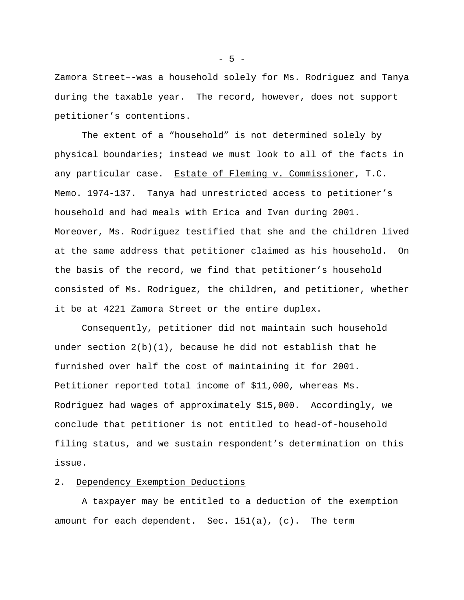Zamora Street–-was a household solely for Ms. Rodriguez and Tanya during the taxable year. The record, however, does not support petitioner's contentions.

The extent of a "household" is not determined solely by physical boundaries; instead we must look to all of the facts in any particular case. Estate of Fleming v. Commissioner, T.C. Memo. 1974-137. Tanya had unrestricted access to petitioner's household and had meals with Erica and Ivan during 2001. Moreover, Ms. Rodriguez testified that she and the children lived at the same address that petitioner claimed as his household. On the basis of the record, we find that petitioner's household consisted of Ms. Rodriguez, the children, and petitioner, whether it be at 4221 Zamora Street or the entire duplex.

Consequently, petitioner did not maintain such household under section  $2(b)(1)$ , because he did not establish that he furnished over half the cost of maintaining it for 2001. Petitioner reported total income of \$11,000, whereas Ms. Rodriguez had wages of approximately \$15,000. Accordingly, we conclude that petitioner is not entitled to head-of-household filing status, and we sustain respondent's determination on this issue.

# 2. Dependency Exemption Deductions

A taxpayer may be entitled to a deduction of the exemption amount for each dependent. Sec. 151(a), (c). The term

- 5 -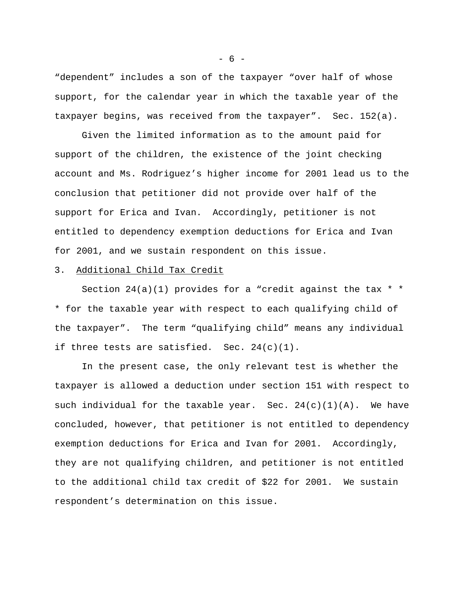"dependent" includes a son of the taxpayer "over half of whose support, for the calendar year in which the taxable year of the taxpayer begins, was received from the taxpayer". Sec. 152(a).

Given the limited information as to the amount paid for support of the children, the existence of the joint checking account and Ms. Rodriguez's higher income for 2001 lead us to the conclusion that petitioner did not provide over half of the support for Erica and Ivan. Accordingly, petitioner is not entitled to dependency exemption deductions for Erica and Ivan for 2001, and we sustain respondent on this issue.

# 3. Additional Child Tax Credit

Section  $24(a)(1)$  provides for a "credit against the tax  $*$ \* for the taxable year with respect to each qualifying child of the taxpayer". The term "qualifying child" means any individual if three tests are satisfied. Sec. 24(c)(1).

In the present case, the only relevant test is whether the taxpayer is allowed a deduction under section 151 with respect to such individual for the taxable year. Sec.  $24(c)(1)(A)$ . We have concluded, however, that petitioner is not entitled to dependency exemption deductions for Erica and Ivan for 2001. Accordingly, they are not qualifying children, and petitioner is not entitled to the additional child tax credit of \$22 for 2001. We sustain respondent's determination on this issue.

- 6 -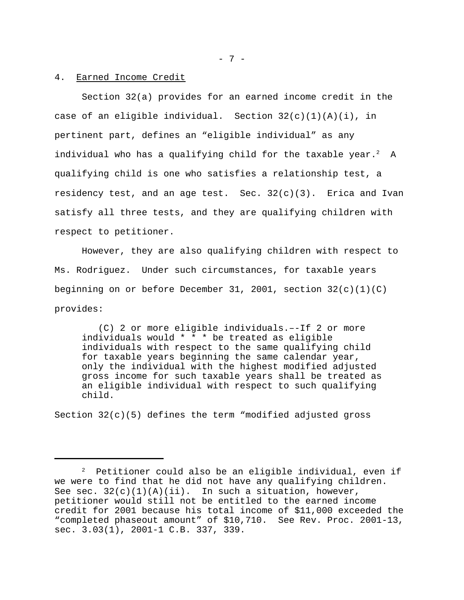#### 4. Earned Income Credit

Section 32(a) provides for an earned income credit in the case of an eligible individual. Section  $32(c)(1)(A)(i)$ , in pertinent part, defines an "eligible individual" as any individual who has a qualifying child for the taxable year.<sup>2</sup> A qualifying child is one who satisfies a relationship test, a residency test, and an age test. Sec.  $32(c)(3)$ . Erica and Ivan satisfy all three tests, and they are qualifying children with respect to petitioner.

However, they are also qualifying children with respect to Ms. Rodriguez. Under such circumstances, for taxable years beginning on or before December 31, 2001, section  $32(c)(1)(C)$ provides:

 (C) 2 or more eligible individuals.–-If 2 or more individuals would \* \* \* be treated as eligible individuals with respect to the same qualifying child for taxable years beginning the same calendar year, only the individual with the highest modified adjusted gross income for such taxable years shall be treated as an eligible individual with respect to such qualifying child.

Section  $32(c)(5)$  defines the term "modified adjusted gross

 $2$  Petitioner could also be an eligible individual, even if we were to find that he did not have any qualifying children. See sec.  $32(c)(1)(A)(ii)$ . In such a situation, however, petitioner would still not be entitled to the earned income credit for 2001 because his total income of \$11,000 exceeded the "completed phaseout amount" of \$10,710. See Rev. Proc. 2001-13, sec. 3.03(1), 2001-1 C.B. 337, 339.